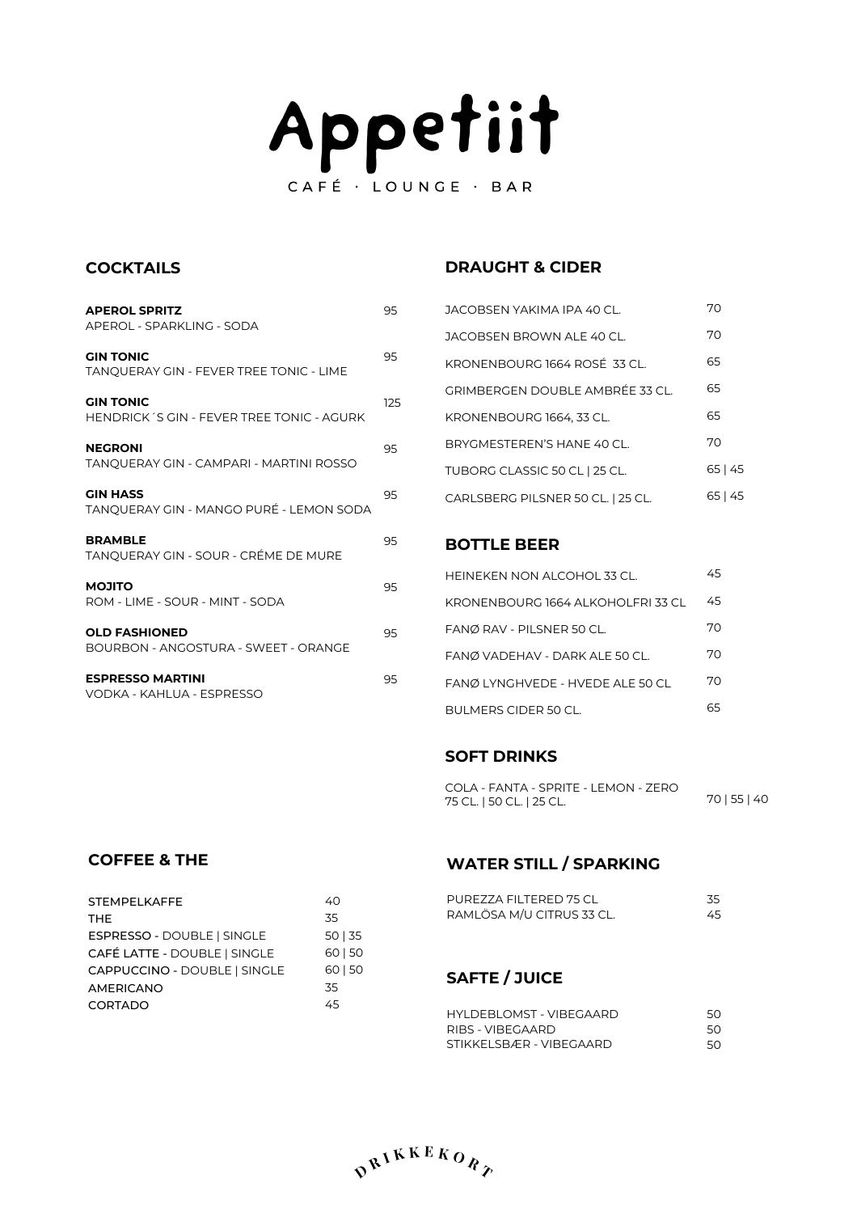# Appetiit CAFÉ · LOUNGE · BAR

#### **COCKTAILS**

| <b>APEROL SPRITZ</b><br>APEROL - SPARKLING - SODA                  | 95  |
|--------------------------------------------------------------------|-----|
| <b>GIN TONIC</b><br><b>TANOUERAY GIN - FEVER TREE TONIC - LIME</b> | 95  |
| <b>GIN TONIC</b><br>HENDRICK'S GIN - FEVER TREE TONIC - AGURK      | 125 |
| <b>NEGRONI</b><br>TANQUERAY GIN - CAMPARI - MARTINI ROSSO          | 95  |
| <b>GIN HASS</b><br>TANOUERAY GIN - MANGO PURÉ - LEMON SODA         | 95  |
| <b>BRAMBLE</b><br>TANQUERAY GIN - SOUR - CRÉME DE MURE             | 95  |
| <b>MOJITO</b><br>ROM - LIME - SOUR - MINT - SODA                   | 95  |
| <b>OLD FASHIONED</b><br>BOURBON - ANGOSTURA - SWEET - ORANGE       | 95  |
| <b>ESPRESSO MARTINI</b><br>VODKA - KAHLUA - ESPRESSO               | 95  |

### **DRAUGHT & CIDER**

| JACOBSEN YAKIMA IPA 40 CL.        | 70      |
|-----------------------------------|---------|
| JACOBSEN BROWN ALE 40 CL.         | 70      |
| KRONENBOURG 1664 ROSÉ 33 CL.      | 65      |
| GRIMBERGEN DOUBLE AMBRÉE 33 CL.   | 65      |
| KRONENBOURG 1664, 33 CL.          | 65      |
| BRYGMESTEREN'S HANE 40 CL.        | 70      |
| TUBORG CLASSIC 50 CL   25 CL.     | 65   45 |
| CARLSBERG PILSNER 50 CL.   25 CL. | 65   45 |

#### **BOTTLE BEER**

| HEINEKEN NON ALCOHOL 33 CL.       | 45 |
|-----------------------------------|----|
| KRONENBOURG 1664 ALKOHOLFRI 33 CL | 45 |
| FANØ RAV - PILSNER 50 CL.         | 70 |
| FANØ VADEHAV - DARK ALE 50 CL.    | 70 |
| FANØ LYNGHVEDE - HVEDE ALE 50 CL  | 70 |
| BULMERS CIDER 50 CL.              | 65 |

### **SOFT DRINKS**

COLA - FANTA - SPRITE - LEMON - ZERO 75 CL. | 50 CL. | 25 CL. 70 | 55 | 40

## **COFFEE & THE**

| <b>STEMPELKAFFE</b>          | 40      |
|------------------------------|---------|
| <b>THE</b>                   | 35      |
| ESPRESSO - DOUBLE   SINGLE   | 50 35   |
| CAFÉ LATTE - DOUBLE   SINGLE | 60   50 |
| CAPPUCCINO - DOUBLE   SINGLE | 60   50 |
| <b>AMERICANO</b>             | .35     |
| <b>CORTADO</b>               | 45      |

# **WATER STILL / SPARKING**

| PUREZZA FILTERED 75 CL    | -35 |
|---------------------------|-----|
| RAMLÖSA M/U CITRUS 33 CL. | 45. |

# **SAFTE / JUICE**

| HYLDEBLOMST - VIBEGAARD | 50  |
|-------------------------|-----|
| RIBS - VIBEGAARD        | 50. |
| STIKKELSBÆR - VIBEGAARD | 50. |

 $D^{R^{\prime}}$ <sup>KKERO</sup>R<sub> $P$ </sub>